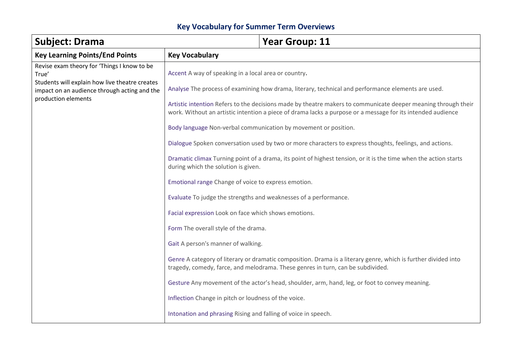## **Key Vocabulary for Summer Term Overviews**

| <b>Subject: Drama</b>                                                                                                 |                                                                                                               | <b>Year Group: 11</b>                                                                                                                                                                             |
|-----------------------------------------------------------------------------------------------------------------------|---------------------------------------------------------------------------------------------------------------|---------------------------------------------------------------------------------------------------------------------------------------------------------------------------------------------------|
| <b>Key Learning Points/End Points</b>                                                                                 | <b>Key Vocabulary</b>                                                                                         |                                                                                                                                                                                                   |
| Revise exam theory for 'Things I know to be<br>True'                                                                  | Accent A way of speaking in a local area or country.                                                          |                                                                                                                                                                                                   |
| Students will explain how live theatre creates<br>impact on an audience through acting and the<br>production elements |                                                                                                               | Analyse The process of examining how drama, literary, technical and performance elements are used.                                                                                                |
|                                                                                                                       | Artistic intention Refers to the decisions made by theatre makers to communicate deeper meaning through their |                                                                                                                                                                                                   |
|                                                                                                                       | work. Without an artistic intention a piece of drama lacks a purpose or a message for its intended audience   |                                                                                                                                                                                                   |
|                                                                                                                       |                                                                                                               | Body language Non-verbal communication by movement or position.                                                                                                                                   |
|                                                                                                                       |                                                                                                               | Dialogue Spoken conversation used by two or more characters to express thoughts, feelings, and actions.                                                                                           |
|                                                                                                                       | during which the solution is given.                                                                           | Dramatic climax Turning point of a drama, its point of highest tension, or it is the time when the action starts                                                                                  |
|                                                                                                                       | Emotional range Change of voice to express emotion.                                                           |                                                                                                                                                                                                   |
|                                                                                                                       | Evaluate To judge the strengths and weaknesses of a performance.                                              |                                                                                                                                                                                                   |
|                                                                                                                       | Facial expression Look on face which shows emotions.                                                          |                                                                                                                                                                                                   |
|                                                                                                                       | Form The overall style of the drama.                                                                          |                                                                                                                                                                                                   |
|                                                                                                                       | Gait A person's manner of walking.                                                                            |                                                                                                                                                                                                   |
|                                                                                                                       |                                                                                                               | Genre A category of literary or dramatic composition. Drama is a literary genre, which is further divided into<br>tragedy, comedy, farce, and melodrama. These genres in turn, can be subdivided. |
|                                                                                                                       |                                                                                                               | Gesture Any movement of the actor's head, shoulder, arm, hand, leg, or foot to convey meaning.                                                                                                    |
|                                                                                                                       | Inflection Change in pitch or loudness of the voice.                                                          |                                                                                                                                                                                                   |
|                                                                                                                       | Intonation and phrasing Rising and falling of voice in speech.                                                |                                                                                                                                                                                                   |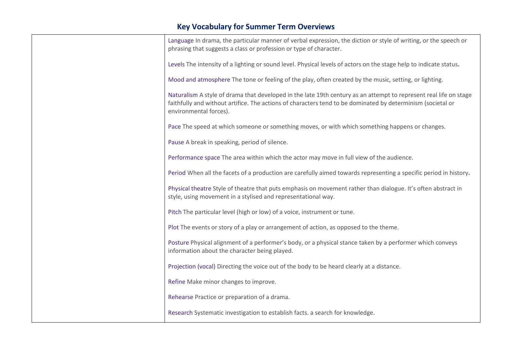## **Key Vocabulary for Summer Term Overviews**

| Language In drama, the particular manner of verbal expression, the diction or style of writing, or the speech or<br>phrasing that suggests a class or profession or type of character.                                                                     |
|------------------------------------------------------------------------------------------------------------------------------------------------------------------------------------------------------------------------------------------------------------|
| Levels The intensity of a lighting or sound level. Physical levels of actors on the stage help to indicate status.                                                                                                                                         |
| Mood and atmosphere The tone or feeling of the play, often created by the music, setting, or lighting.                                                                                                                                                     |
| Naturalism A style of drama that developed in the late 19th century as an attempt to represent real life on stage<br>faithfully and without artifice. The actions of characters tend to be dominated by determinism (societal or<br>environmental forces). |
| Pace The speed at which someone or something moves, or with which something happens or changes.                                                                                                                                                            |
| Pause A break in speaking, period of silence.                                                                                                                                                                                                              |
| Performance space The area within which the actor may move in full view of the audience.                                                                                                                                                                   |
| Period When all the facets of a production are carefully aimed towards representing a specific period in history.                                                                                                                                          |
| Physical theatre Style of theatre that puts emphasis on movement rather than dialogue. It's often abstract in<br>style, using movement in a stylised and representational way.                                                                             |
| Pitch The particular level (high or low) of a voice, instrument or tune.                                                                                                                                                                                   |
| Plot The events or story of a play or arrangement of action, as opposed to the theme.                                                                                                                                                                      |
| Posture Physical alignment of a performer's body, or a physical stance taken by a performer which conveys<br>information about the character being played.                                                                                                 |
| Projection (vocal) Directing the voice out of the body to be heard clearly at a distance.                                                                                                                                                                  |
| Refine Make minor changes to improve.                                                                                                                                                                                                                      |
| Rehearse Practice or preparation of a drama.                                                                                                                                                                                                               |
| Research Systematic investigation to establish facts. a search for knowledge.                                                                                                                                                                              |